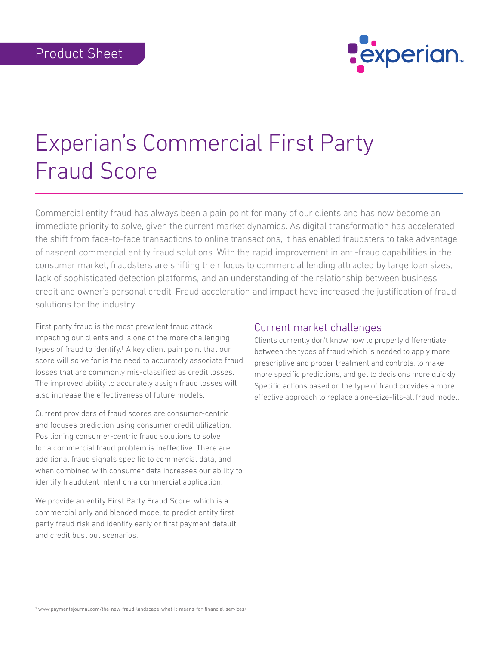

# Experian's Commercial First Party Fraud Score

Commercial entity fraud has always been a pain point for many of our clients and has now become an immediate priority to solve, given the current market dynamics. As digital transformation has accelerated the shift from face-to-face transactions to online transactions, it has enabled fraudsters to take advantage of nascent commercial entity fraud solutions. With the rapid improvement in anti-fraud capabilities in the consumer market, fraudsters are shifting their focus to commercial lending attracted by large loan sizes, lack of sophisticated detection platforms, and an understanding of the relationship between business credit and owner's personal credit. Fraud acceleration and impact have increased the justification of fraud solutions for the industry.

First party fraud is the most prevalent fraud attack impacting our clients and is one of the more challenging types of fraud to identify.1 A key client pain point that our score will solve for is the need to accurately associate fraud losses that are commonly mis-classified as credit losses. The improved ability to accurately assign fraud losses will also increase the effectiveness of future models.

Current providers of fraud scores are consumer-centric and focuses prediction using consumer credit utilization. Positioning consumer-centric fraud solutions to solve for a commercial fraud problem is ineffective. There are additional fraud signals specific to commercial data, and when combined with consumer data increases our ability to identify fraudulent intent on a commercial application.

We provide an entity First Party Fraud Score, which is a commercial only and blended model to predict entity first party fraud risk and identify early or first payment default and credit bust out scenarios.

## Current market challenges

Clients currently don't know how to properly differentiate between the types of fraud which is needed to apply more prescriptive and proper treatment and controls, to make more specific predictions, and get to decisions more quickly. Specific actions based on the type of fraud provides a more effective approach to replace a one-size-fits-all fraud model.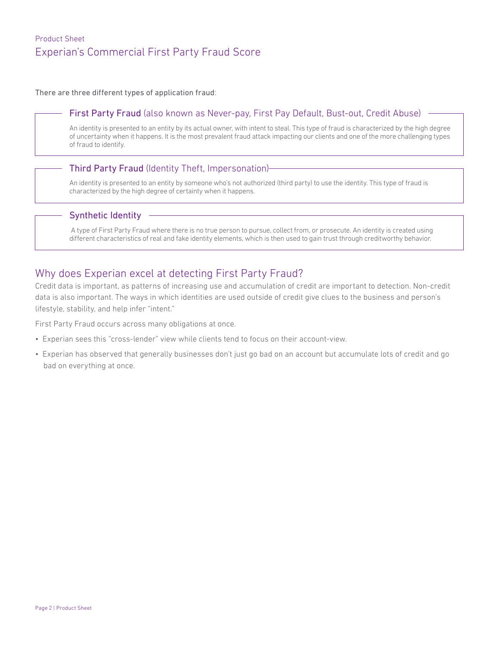# Product Sheet Experian's Commercial First Party Fraud Score

There are three different types of application fraud:

### First Party Fraud (also known as Never-pay, First Pay Default, Bust-out, Credit Abuse)

An identity is presented to an entity by its actual owner, with intent to steal. This type of fraud is characterized by the high degree of uncertainty when it happens. It is the most prevalent fraud attack impacting our clients and one of the more challenging types of fraud to identify.

#### Third Party Fraud (Identity Theft, Impersonation)

An identity is presented to an entity by someone who's not authorized (third party) to use the identity. This type of fraud is characterized by the high degree of certainty when it happens.

#### Synthetic Identity

 A type of First Party Fraud where there is no true person to pursue, collect from, or prosecute. An identity is created using different characteristics of real and fake identity elements, which is then used to gain trust through creditworthy behavior.

## Why does Experian excel at detecting First Party Fraud?

Credit data is important, as patterns of increasing use and accumulation of credit are important to detection. Non-credit data is also important. The ways in which identities are used outside of credit give clues to the business and person's lifestyle, stability, and help infer "intent."

First Party Fraud occurs across many obligations at once.

- Experian sees this "cross-lender" view while clients tend to focus on their account-view.
- Experian has observed that generally businesses don't just go bad on an account but accumulate lots of credit and go bad on everything at once.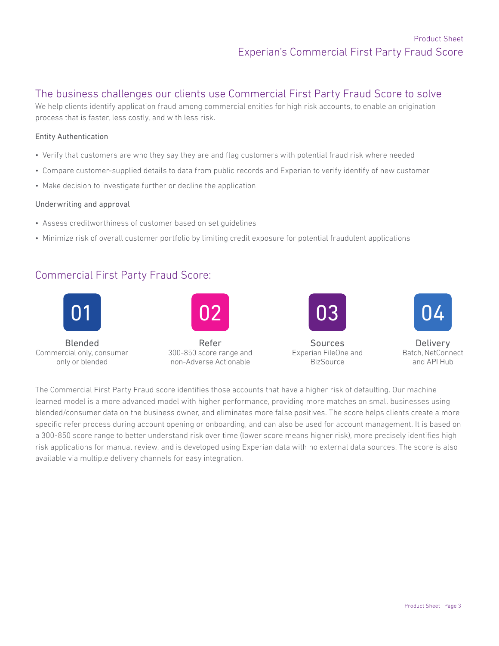## The business challenges our clients use Commercial First Party Fraud Score to solve

We help clients identify application fraud among commercial entities for high risk accounts, to enable an origination process that is faster, less costly, and with less risk.

#### Entity Authentication

- Verify that customers are who they say they are and flag customers with potential fraud risk where needed
- Compare customer-supplied details to data from public records and Experian to verify identify of new customer
- Make decision to investigate further or decline the application

#### Underwriting and approval

- Assess creditworthiness of customer based on set guidelines
- Minimize risk of overall customer portfolio by limiting credit exposure for potential fraudulent applications

# Commercial First Party Fraud Score:



The Commercial First Party Fraud score identifies those accounts that have a higher risk of defaulting. Our machine learned model is a more advanced model with higher performance, providing more matches on small businesses using blended/consumer data on the business owner, and eliminates more false positives. The score helps clients create a more specific refer process during account opening or onboarding, and can also be used for account management. It is based on a 300-850 score range to better understand risk over time (lower score means higher risk), more precisely identifies high risk applications for manual review, and is developed using Experian data with no external data sources. The score is also available via multiple delivery channels for easy integration.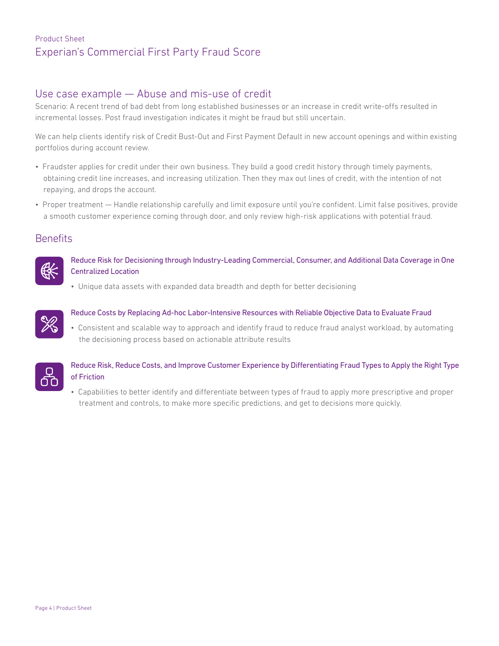# Product Sheet Experian's Commercial First Party Fraud Score

## Use case example — Abuse and mis-use of credit

Scenario: A recent trend of bad debt from long established businesses or an increase in credit write-offs resulted in incremental losses. Post fraud investigation indicates it might be fraud but still uncertain.

We can help clients identify risk of Credit Bust-Out and First Payment Default in new account openings and within existing portfolios during account review.

- Fraudster applies for credit under their own business. They build a good credit history through timely payments, obtaining credit line increases, and increasing utilization. Then they max out lines of credit, with the intention of not repaying, and drops the account.
- Proper treatment Handle relationship carefully and limit exposure until you're confident. Limit false positives, provide a smooth customer experience coming through door, and only review high-risk applications with potential fraud.

## **Benefits**



Reduce Risk for Decisioning through Industry-Leading Commercial, Consumer, and Additional Data Coverage in One Centralized Location

• Unique data assets with expanded data breadth and depth for better decisioning



#### Reduce Costs by Replacing Ad-hoc Labor-Intensive Resources with Reliable Objective Data to Evaluate Fraud

• Consistent and scalable way to approach and identify fraud to reduce fraud analyst workload, by automating the decisioning process based on actionable attribute results



### Reduce Risk, Reduce Costs, and Improve Customer Experience by Differentiating Fraud Types to Apply the Right Type of Friction

• Capabilities to better identify and differentiate between types of fraud to apply more prescriptive and proper treatment and controls, to make more specific predictions, and get to decisions more quickly.